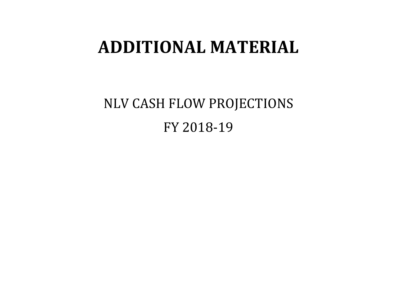## **ADDITIONAL MATERIAL**

NLV CASH FLOW PROJECTIONS FY 2018-19